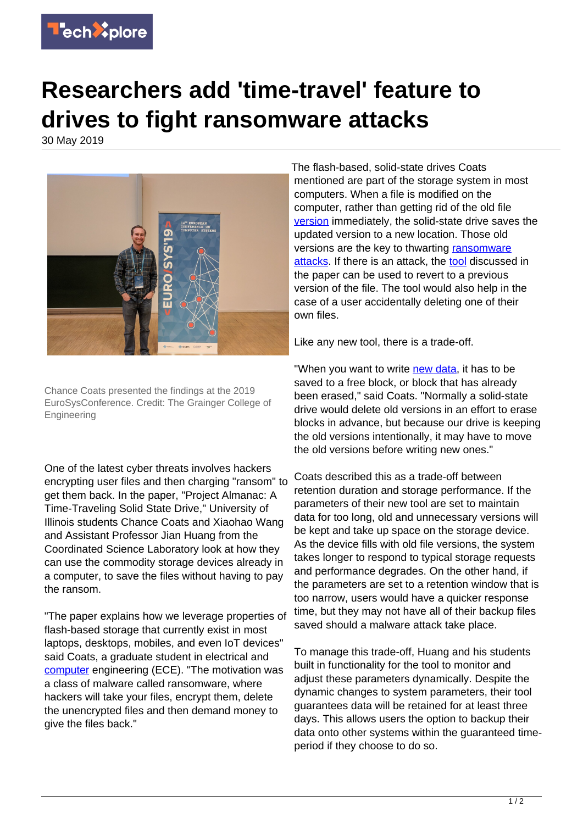

## **Researchers add 'time-travel' feature to drives to fight ransomware attacks**

30 May 2019



Chance Coats presented the findings at the 2019 EuroSysConference. Credit: The Grainger College of **Engineering** 

One of the latest cyber threats involves hackers encrypting user files and then charging "ransom" to get them back. In the paper, "Project Almanac: A Time-Traveling Solid State Drive," University of Illinois students Chance Coats and Xiaohao Wang and Assistant Professor Jian Huang from the Coordinated Science Laboratory look at how they can use the commodity storage devices already in a computer, to save the files without having to pay the ransom.

"The paper explains how we leverage properties of flash-based storage that currently exist in most laptops, desktops, mobiles, and even IoT devices" said Coats, a graduate student in electrical and [computer](https://techxplore.com/tags/computer/) engineering (ECE). "The motivation was a class of malware called ransomware, where hackers will take your files, encrypt them, delete the unencrypted files and then demand money to give the files back."

The flash-based, solid-state drives Coats mentioned are part of the storage system in most computers. When a file is modified on the computer, rather than getting rid of the old file [version](https://techxplore.com/tags/version/) immediately, the solid-state drive saves the updated version to a new location. Those old versions are the key to thwarting [ransomware](https://techxplore.com/tags/ransomware+attacks/) [attacks](https://techxplore.com/tags/ransomware+attacks/). If there is an attack, the [tool](https://techxplore.com/tags/tool/) discussed in the paper can be used to revert to a previous version of the file. The tool would also help in the case of a user accidentally deleting one of their own files.

Like any new tool, there is a trade-off.

"When you want to write [new data](https://techxplore.com/tags/new+data/), it has to be saved to a free block, or block that has already been erased," said Coats. "Normally a solid-state drive would delete old versions in an effort to erase blocks in advance, but because our drive is keeping the old versions intentionally, it may have to move the old versions before writing new ones."

Coats described this as a trade-off between retention duration and storage performance. If the parameters of their new tool are set to maintain data for too long, old and unnecessary versions will be kept and take up space on the storage device. As the device fills with old file versions, the system takes longer to respond to typical storage requests and performance degrades. On the other hand, if the parameters are set to a retention window that is too narrow, users would have a quicker response time, but they may not have all of their backup files saved should a malware attack take place.

To manage this trade-off, Huang and his students built in functionality for the tool to monitor and adjust these parameters dynamically. Despite the dynamic changes to system parameters, their tool guarantees data will be retained for at least three days. This allows users the option to backup their data onto other systems within the guaranteed timeperiod if they choose to do so.